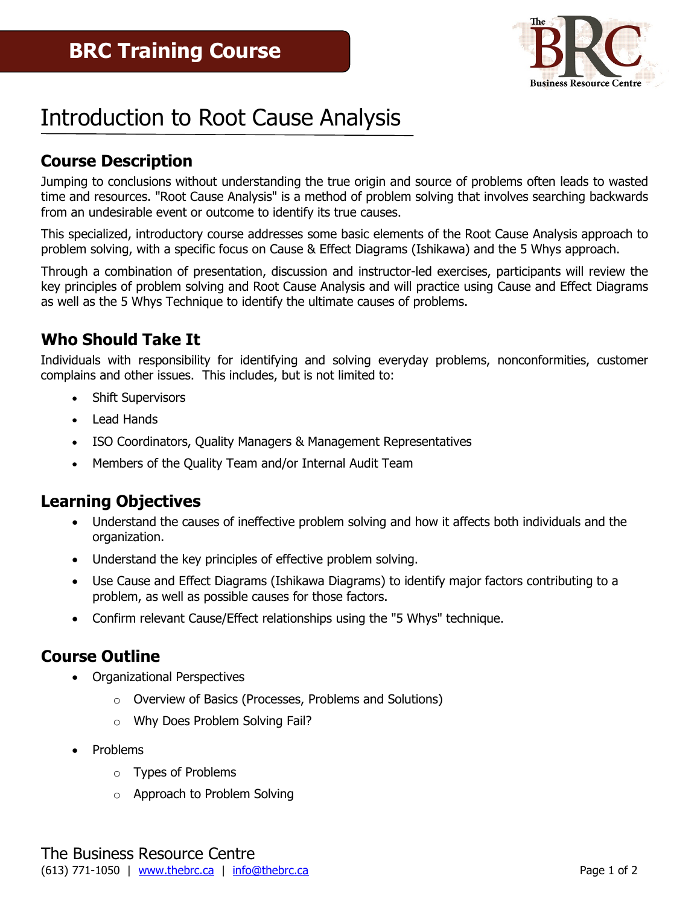

# Introduction to Root Cause Analysis

## **Course Description**

Jumping to conclusions without understanding the true origin and source of problems often leads to wasted time and resources. "Root Cause Analysis" is a method of problem solving that involves searching backwards from an undesirable event or outcome to identify its true causes.

This specialized, introductory course addresses some basic elements of the Root Cause Analysis approach to problem solving, with a specific focus on Cause & Effect Diagrams (Ishikawa) and the 5 Whys approach.

Through a combination of presentation, discussion and instructor-led exercises, participants will review the key principles of problem solving and Root Cause Analysis and will practice using Cause and Effect Diagrams as well as the 5 Whys Technique to identify the ultimate causes of problems.

### **Who Should Take It**

Individuals with responsibility for identifying and solving everyday problems, nonconformities, customer complains and other issues. This includes, but is not limited to:

- Shift Supervisors
- Lead Hands
- ISO Coordinators, Quality Managers & Management Representatives
- Members of the Quality Team and/or Internal Audit Team

#### **Learning Objectives**

- Understand the causes of ineffective problem solving and how it affects both individuals and the organization.
- Understand the key principles of effective problem solving.
- Use Cause and Effect Diagrams (Ishikawa Diagrams) to identify major factors contributing to a problem, as well as possible causes for those factors.
- Confirm relevant Cause/Effect relationships using the "5 Whys" technique.

#### **Course Outline**

- Organizational Perspectives
	- o Overview of Basics (Processes, Problems and Solutions)
	- o Why Does Problem Solving Fail?
- Problems
	- o Types of Problems
	- o Approach to Problem Solving